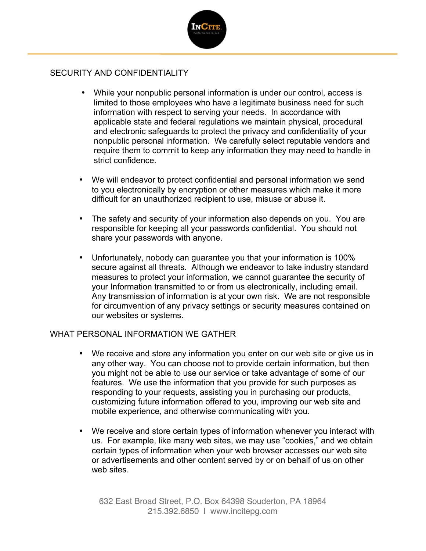

# SECURITY AND CONFIDENTIALITY

- While your nonpublic personal information is under our control, access is limited to those employees who have a legitimate business need for such information with respect to serving your needs. In accordance with applicable state and federal regulations we maintain physical, procedural and electronic safeguards to protect the privacy and confidentiality of your nonpublic personal information. We carefully select reputable vendors and require them to commit to keep any information they may need to handle in strict confidence.
- We will endeavor to protect confidential and personal information we send to you electronically by encryption or other measures which make it more difficult for an unauthorized recipient to use, misuse or abuse it.
- The safety and security of your information also depends on you. You are responsible for keeping all your passwords confidential. You should not share your passwords with anyone.
- Unfortunately, nobody can guarantee you that your information is 100% secure against all threats. Although we endeavor to take industry standard measures to protect your information, we cannot guarantee the security of your Information transmitted to or from us electronically, including email. Any transmission of information is at your own risk. We are not responsible for circumvention of any privacy settings or security measures contained on our websites or systems.

## WHAT PERSONAL INFORMATION WE GATHER

- We receive and store any information you enter on our web site or give us in any other way. You can choose not to provide certain information, but then you might not be able to use our service or take advantage of some of our features. We use the information that you provide for such purposes as responding to your requests, assisting you in purchasing our products, customizing future information offered to you, improving our web site and mobile experience, and otherwise communicating with you.
- We receive and store certain types of information whenever you interact with us. For example, like many web sites, we may use "cookies," and we obtain certain types of information when your web browser accesses our web site or advertisements and other content served by or on behalf of us on other web sites.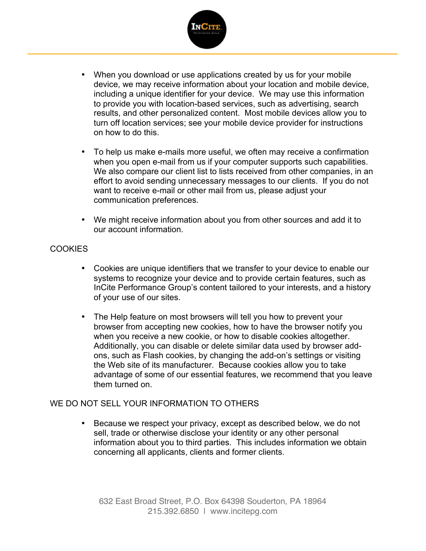

- When you download or use applications created by us for your mobile device, we may receive information about your location and mobile device, including a unique identifier for your device. We may use this information to provide you with location-based services, such as advertising, search results, and other personalized content. Most mobile devices allow you to turn off location services; see your mobile device provider for instructions on how to do this.
- To help us make e-mails more useful, we often may receive a confirmation when you open e-mail from us if your computer supports such capabilities. We also compare our client list to lists received from other companies, in an effort to avoid sending unnecessary messages to our clients. If you do not want to receive e-mail or other mail from us, please adjust your communication preferences.
- We might receive information about you from other sources and add it to our account information.

### **COOKIES**

- Cookies are unique identifiers that we transfer to your device to enable our systems to recognize your device and to provide certain features, such as InCite Performance Group's content tailored to your interests, and a history of your use of our sites.
- The Help feature on most browsers will tell you how to prevent your browser from accepting new cookies, how to have the browser notify you when you receive a new cookie, or how to disable cookies altogether. Additionally, you can disable or delete similar data used by browser addons, such as Flash cookies, by changing the add-on's settings or visiting the Web site of its manufacturer. Because cookies allow you to take advantage of some of our essential features, we recommend that you leave them turned on.

#### WE DO NOT SELL YOUR INFORMATION TO OTHERS

• Because we respect your privacy, except as described below, we do not sell, trade or otherwise disclose your identity or any other personal information about you to third parties. This includes information we obtain concerning all applicants, clients and former clients.